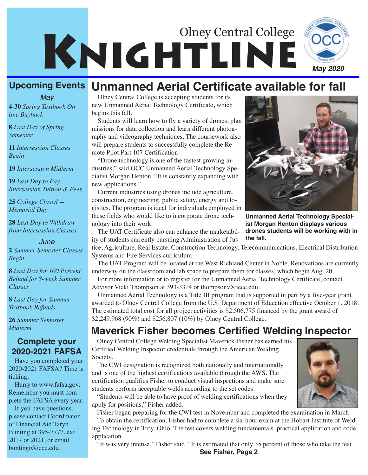

#### **Upcoming Events Unmanned Aerial Certificate available for fall**

**4-30** *Spring Textbook Online Buyback May*

**8** *Last Day of Spring Semester*

**11** *Intersession Classes Begin*

**19** *Intersession Midterm*

**19** *Last Day to Pay Intersession Tuition & Fees* 

**25** *College Closed — Memorial Day*

**28** *Last Day to Withdraw from Intersession Classes*

#### *June*

**2** *Summer Semester Classes Begin*

**8** *Last Day for 100 Percent Refund for 8-week Summer Classes*

**8** *Last Day for Summer Textbook Refunds*

**26** *Summer Semester Midterm*

#### **Complete your 2020-2021 FAFSA**

Have you completed your 2020-2021 FAFSA? Time is ticking.

Hurry to www.fafsa.gov. Remember you must complete the FAFSA every year.

If you have questions, please contact Coordinator of Financial Aid Taryn Bunting at 395-7777, ext. 2017 or 2021, or email buntingt@iecc.edu.

Olney Central College is accepting students for its new Unmanned Aerial Technology Certificate, which begins this fall.

Students will learn how to fly a variety of drones, plan missions for data collection and learn different photography and videography techniques. The coursework also will prepare students to successfully complete the Remote Pilot Part 107 Certification.

"Drone technology is one of the fastest growing industries," said OCC Unmanned Aerial Technology Specialist Morgan Henton. "It is constantly expanding with new applications."

Current industries using drones include agriculture, construction, engineering, public safety, energy and logistics. The program is ideal for individuals employed in these fields who would like to incorporate drone technology into their work.

The UAT Certificate also can enhance the marketability of students currently pursuing Administration of Jus-

tice, Agriculture, Real Estate, Construction Technology, Telecommunications, Electrical Distribution Systems and Fire Services curriculum.

The UAT Program will be located at the West Richland Center in Noble. Renovations are currently underway on the classroom and lab space to prepare them for classes, which begin Aug. 20.

For more information or to register for the Unmanned Aerial Technology Certificate, contact Advisor Vicki Thompson at 393-3314 or thompsonv@iecc.edu.

Unmanned Aerial Technology is a Title III program that is supported in part by a five-year grant awarded to Olney Central College from the U.S. Department of Education effective October 1, 2018. The estimated total cost for all project activities is \$2,506,775 financed by the grant award of \$2,249,968 (90%) and \$256,807 (10%) by Olney Central College.

### **Maverick Fisher becomes Certified Welding Inspector**

Olney Central College Welding Specialist Maverick Fisher has earned his Certified Welding Inspector credentials through the American Welding Society.

The CWI designation is recognized both nationally and internationally and is one of the highest certifications available through the AWS. The certification qualifies Fisher to conduct visual inspections and make sure students perform acceptable welds according to the set codes.

"Students will be able to have proof of welding certifications when they apply for positions," Fisher added.

Fisher began preparing for the CWI test in November and completed the examination in March. To obtain the certification, Fisher had to complete a six-hour exam at the Hobart Institute of Welding Technology in Troy, Ohio. The test covers welding fundamentals, practical application and code application.

"It was very intense," Fisher said. "It is estimated that only 35 percent of those who take the test **See Fisher, Page 2**

**Unmanned Aerial Technology Special-**

**ist Morgan Henton displays various drones students will be working with in the fall.**



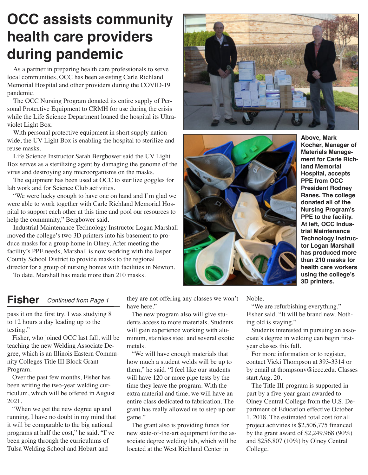# **OCC assists community health care providers during pandemic**

 As a partner in preparing health care professionals to serve local communities, OCC has been assisting Carle Richland Memorial Hospital and other providers during the COVID-19 pandemic.

The OCC Nursing Program donated its entire supply of Personal Protective Equipment to CRMH for use during the crisis while the Life Science Department loaned the hospital its Ultraviolet Light Box.

With personal protective equipment in short supply nationwide, the UV Light Box is enabling the hospital to sterilize and reuse masks.

Life Science Instructor Sarah Bergbower said the UV Light Box serves as a sterilizing agent by damaging the genome of the virus and destroying any microorganisms on the masks.

The equipment has been used at OCC to sterilize goggles for lab work and for Science Club activities.

"We were lucky enough to have one on hand and I'm glad we were able to work together with Carle Richland Memorial Hospital to support each other at this time and pool our resources to help the community," Bergbower said.

Industrial Maintenance Technology Instructor Logan Marshall moved the college's two 3D printers into his basement to produce masks for a group home in Olney. After meeting the facility's PPE needs, Marshall is now working with the Jasper County School District to provide masks to the regional director for a group of nursing homes with facilities in Newton.

To date, Marshall has made more than 210 masks.





**Above, Mark Kocher, Manager of Materials Management for Carle Richland Memorial Hospital, accepts PPE from OCC President Rodney Ranes. The college donated all of the Nursing Program's PPE to the facility. At left, OCC Industrial Maintenance Technology Instructor Logan Marshall has produced more than 210 masks for health care workers using the college's 3D printers.**

Noble.

"We are refurbishing everything," Fisher said. "It will be brand new. Nothing old is staying."

Students interested in pursuing an associate's degree in welding can begin firstyear classes this fall.

For more information or to register, contact Vicki Thompson at 393-3314 or by email at thompsonv@iecc.edu. Classes start Aug. 20.

The Title III program is supported in part by a five-year grant awarded to Olney Central College from the U.S. Department of Education effective October 1, 2018. The estimated total cost for all project activities is \$2,506,775 financed by the grant award of \$2,249,968 (90%) and \$256,807 (10%) by Olney Central College.

### **Fisher** *Continued from Page 1*

pass it on the first try. I was studying 8 to 12 hours a day leading up to the testing."

Fisher, who joined OCC last fall, will be teaching the new Welding Associate Degree, which is an Illinois Eastern Community Colleges Title III Block Grant Program.

Over the past few months, Fisher has been writing the two-year welding curriculum, which will be offered in August 2021.

"When we get the new degree up and running, I have no doubt in my mind that it will be comparable to the big national programs at half the cost," he said. "I've been going through the curriculums of Tulsa Welding School and Hobart and

they are not offering any classes we won't have here."

The new program also will give students access to more materials. Students will gain experience working with aluminum, stainless steel and several exotic metals.

"We will have enough materials that how much a student welds will be up to them," he said. "I feel like our students will have 120 or more pipe tests by the time they leave the program. With the extra material and time, we will have an entire class dedicated to fabrication. The grant has really allowed us to step up our game."

The grant also is providing funds for new state-of-the-art equipment for the associate degree welding lab, which will be located at the West Richland Center in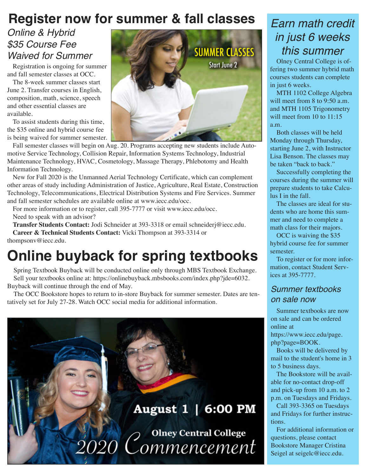## **Register now for summer & fall classes**

# *Online & Hybrid \$35 Course Fee*

Registration is ongoing for summer and fall semester classes at OCC.

The 8-week summer classes start June 2. Transfer courses in English, composition, math, science, speech and other essential classes are available.

To assist students during this time, the \$35 online and hybrid course fee is being waived for summer semester.

Fall semester classes will begin on Aug. 20. Programs accepting new students include Automotive Service Technology, Collision Repair, Information Systems Technology, Industrial Maintenance Technology, HVAC, Cosmetology, Massage Therapy, Phlebotomy and Health Information Technology.

New for Fall 2020 is the Unmanned Aerial Technology Certificate, which can complement other areas of study including Administration of Justice, Agriculture, Real Estate, Construction Technology, Telecommunications, Electrical Distribution Systems and Fire Services. Summer and fall semester schedules are available online at www.iecc.edu/occ.

For more information or to register, call 395-7777 or visit www.iecc.edu/occ. Need to speak with an advisor?

**Transfer Students Contact:** Jodi Schneider at 393-3318 or email schneiderj@iecc.edu. **Career & Technical Students Contact:** Vicki Thompson at 393-3314 or thompsonv@iecc.edu.

# **Online buyback for spring textbooks**

Spring Textbook Buyback will be conducted online only through MBS Textbook Exchange. Sell your textbooks online at: https://onlinebuyback.mbsbooks.com/index.php?jde=6032. Buyback will continue through the end of May.

The OCC Bookstore hopes to return to in-store Buyback for summer semester. Dates are tentatively set for July 27-28. Watch OCC social media for additional information.





## *Earn math credit in just 6 weeks this summer*

fering two summer hybrid math courses students can complete in just 6 weeks.

MTH 1102 College Algebra will meet from 8 to 9:50 a.m. and MTH 1105 Trigonometry will meet from 10 to 11:15 a.m.

Both classes will be held Monday through Thursday, starting June 2, with Instructor Lisa Benson. The classes may be taken "back to back."

Successfully completing the courses during the summer will prepare students to take Calculus I in the fall.

The classes are ideal for students who are home this summer and need to complete a math class for their majors.

OCC is waiving the \$35 hybrid course fee for summer semester.

To register or for more information, contact Student Services at 395-7777.

### *Summer textbooks on sale now*

Summer textbooks are now on sale and can be ordered online at

https://www.iecc.edu/page. php?page=BOOK.

Books will be delivered by mail to the student's home in 3 to 5 business days.

The Bookstore will be available for no-contact drop-off and pick-up from 10 a.m. to 2 p.m. on Tuesdays and Fridays.

Call 393-3365 on Tuesdays and Fridays for further instructions.

For additional information or questions, please contact Bookstore Manager Cristina Seigel at seigelc@iecc.edu.